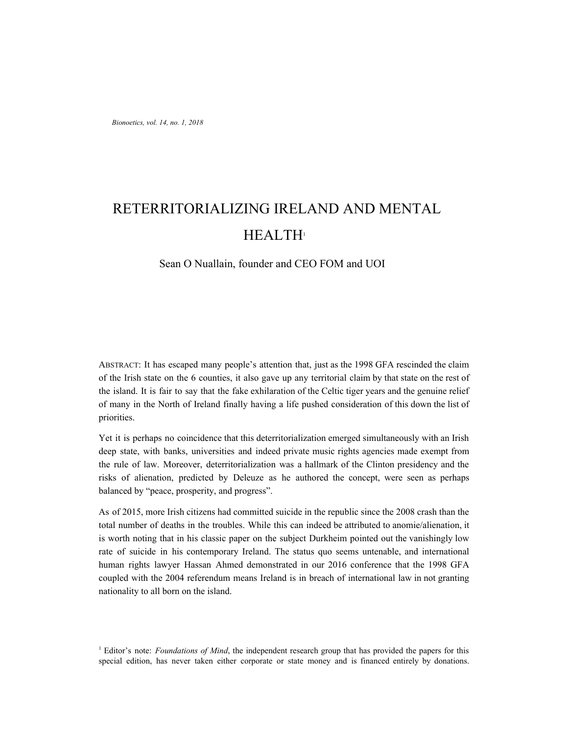# RETERRITORIALIZING IRELAND AND MENTAL HEALTH<sup>1</sup>

## Sean O Nuallain, founder and CEO FOM and UOI

ABSTRACT: It has escaped many people's attention that, just as the 1998 GFA rescinded the claim of the Irish state on the 6 counties, it also gave up any territorial claim by that state on the rest of the island. It is fair to say that the fake exhilaration of the Celtic tiger years and the genuine relief of many in the North of Ireland finally having a life pushed consideration of this down the list of priorities.

Yet it is perhaps no coincidence that this deterritorialization emerged simultaneously with an Irish deep state, with banks, universities and indeed private music rights agencies made exempt from the rule of law. Moreover, deterritorialization was a hallmark of the Clinton presidency and the risks of alienation, predicted by Deleuze as he authored the concept, were seen as perhaps balanced by "peace, prosperity, and progress".

As of 2015, more Irish citizens had committed suicide in the republic since the 2008 crash than the total number of deaths in the troubles. While this can indeed be attributed to anomie/alienation, it is worth noting that in his classic paper on the subject Durkheim pointed out the vanishingly low rate of suicide in his contemporary Ireland. The status quo seems untenable, and international human rights lawyer Hassan Ahmed demonstrated in our 2016 conference that the 1998 GFA coupled with the 2004 referendum means Ireland is in breach of international law in not granting nationality to all born on the island.

<sup>1</sup> Editor's note: *Foundations of Mind*, the independent research group that has provided the papers for this special edition, has never taken either corporate or state money and is financed entirely by donations.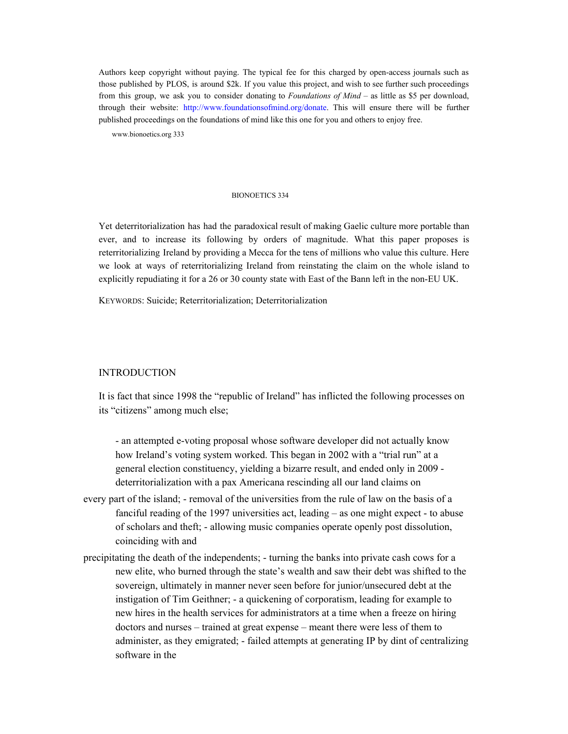Authors keep copyright without paying. The typical fee for this charged by open-access journals such as those published by PLOS, is around \$2k. If you value this project, and wish to see further such proceedings from this group, we ask you to consider donating to *Foundations of Mind* – as little as \$5 per download, through their website: http://www.foundationsofmind.org/donate. This will ensure there will be further published proceedings on the foundations of mind like this one for you and others to enjoy free.

www.bionoetics.org 333

#### BIONOETICS 334

Yet deterritorialization has had the paradoxical result of making Gaelic culture more portable than ever, and to increase its following by orders of magnitude. What this paper proposes is reterritorializing Ireland by providing a Mecca for the tens of millions who value this culture. Here we look at ways of reterritorializing Ireland from reinstating the claim on the whole island to explicitly repudiating it for a 26 or 30 county state with East of the Bann left in the non-EU UK.

KEYWORDS: Suicide; Reterritorialization; Deterritorialization

# INTRODUCTION

It is fact that since 1998 the "republic of Ireland" has inflicted the following processes on its "citizens" among much else;

- an attempted e-voting proposal whose software developer did not actually know how Ireland's voting system worked. This began in 2002 with a "trial run" at a general election constituency, yielding a bizarre result, and ended only in 2009 deterritorialization with a pax Americana rescinding all our land claims on

- every part of the island; removal of the universities from the rule of law on the basis of a fanciful reading of the 1997 universities act, leading – as one might expect - to abuse of scholars and theft; - allowing music companies operate openly post dissolution, coinciding with and
- precipitating the death of the independents; turning the banks into private cash cows for a new elite, who burned through the state's wealth and saw their debt was shifted to the sovereign, ultimately in manner never seen before for junior/unsecured debt at the instigation of Tim Geithner; - a quickening of corporatism, leading for example to new hires in the health services for administrators at a time when a freeze on hiring doctors and nurses – trained at great expense – meant there were less of them to administer, as they emigrated; - failed attempts at generating IP by dint of centralizing software in the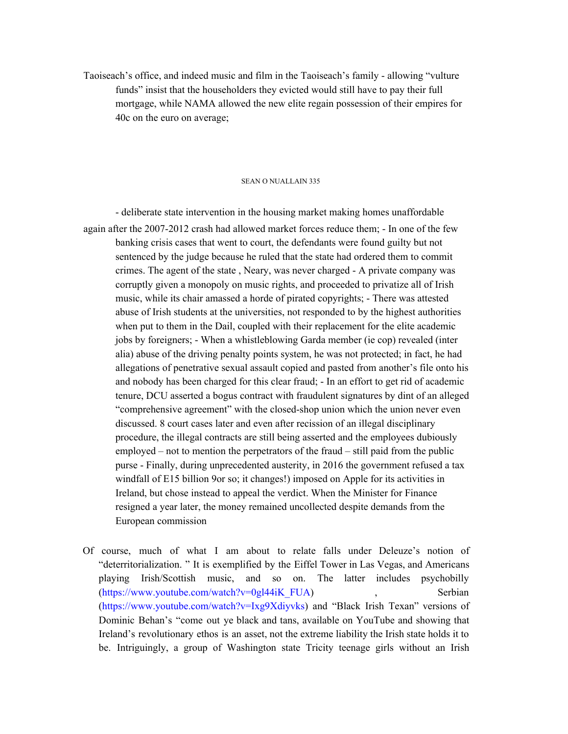Taoiseach's office, and indeed music and film in the Taoiseach's family - allowing "vulture funds" insist that the householders they evicted would still have to pay their full mortgage, while NAMA allowed the new elite regain possession of their empires for 40c on the euro on average;

#### SEAN O NUALLAIN 335

- deliberate state intervention in the housing market making homes unaffordable again after the 2007-2012 crash had allowed market forces reduce them; - In one of the few banking crisis cases that went to court, the defendants were found guilty but not sentenced by the judge because he ruled that the state had ordered them to commit crimes. The agent of the state , Neary, was never charged - A private company was corruptly given a monopoly on music rights, and proceeded to privatize all of Irish music, while its chair amassed a horde of pirated copyrights; - There was attested abuse of Irish students at the universities, not responded to by the highest authorities when put to them in the Dail, coupled with their replacement for the elite academic jobs by foreigners; - When a whistleblowing Garda member (ie cop) revealed (inter alia) abuse of the driving penalty points system, he was not protected; in fact, he had allegations of penetrative sexual assault copied and pasted from another's file onto his and nobody has been charged for this clear fraud; - In an effort to get rid of academic tenure, DCU asserted a bogus contract with fraudulent signatures by dint of an alleged "comprehensive agreement" with the closed-shop union which the union never even discussed. 8 court cases later and even after recission of an illegal disciplinary procedure, the illegal contracts are still being asserted and the employees dubiously employed – not to mention the perpetrators of the fraud – still paid from the public purse - Finally, during unprecedented austerity, in 2016 the government refused a tax windfall of E15 billion 9or so; it changes!) imposed on Apple for its activities in Ireland, but chose instead to appeal the verdict. When the Minister for Finance resigned a year later, the money remained uncollected despite demands from the European commission

Of course, much of what I am about to relate falls under Deleuze's notion of "deterritorialization. " It is exemplified by the Eiffel Tower in Las Vegas, and Americans playing Irish/Scottish music, and so on. The latter includes psychobilly (https://www.youtube.com/watch?v=0gl44iK\_FUA) , Serbian (https://www.youtube.com/watch?v=Ixg9Xdiyvks) and "Black Irish Texan" versions of Dominic Behan's "come out ye black and tans, available on YouTube and showing that Ireland's revolutionary ethos is an asset, not the extreme liability the Irish state holds it to be. Intriguingly, a group of Washington state Tricity teenage girls without an Irish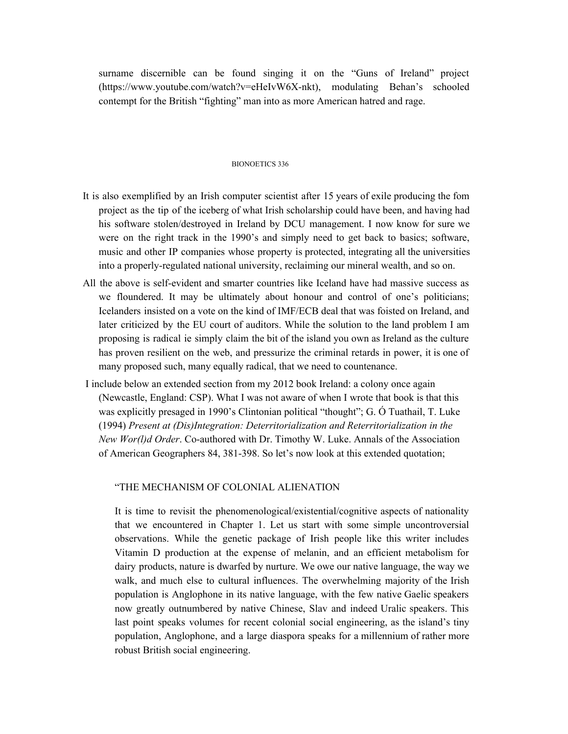surname discernible can be found singing it on the "Guns of Ireland" project (https://www.youtube.com/watch?v=eHeIvW6X-nkt), modulating Behan's schooled contempt for the British "fighting" man into as more American hatred and rage.

#### BIONOETICS 336

- It is also exemplified by an Irish computer scientist after 15 years of exile producing the fom project as the tip of the iceberg of what Irish scholarship could have been, and having had his software stolen/destroyed in Ireland by DCU management. I now know for sure we were on the right track in the 1990's and simply need to get back to basics; software, music and other IP companies whose property is protected, integrating all the universities into a properly-regulated national university, reclaiming our mineral wealth, and so on.
- All the above is self-evident and smarter countries like Iceland have had massive success as we floundered. It may be ultimately about honour and control of one's politicians; Icelanders insisted on a vote on the kind of IMF/ECB deal that was foisted on Ireland, and later criticized by the EU court of auditors. While the solution to the land problem I am proposing is radical ie simply claim the bit of the island you own as Ireland as the culture has proven resilient on the web, and pressurize the criminal retards in power, it is one of many proposed such, many equally radical, that we need to countenance.
- I include below an extended section from my 2012 book Ireland: a colony once again (Newcastle, England: CSP). What I was not aware of when I wrote that book is that this was explicitly presaged in 1990's Clintonian political "thought"; G. Ó Tuathail, T. Luke (1994) *Present at (Dis)Integration: Deterritorialization and Reterritorialization in the New Wor(l)d Order*. Co-authored with Dr. Timothy W. Luke. Annals of the Association of American Geographers 84, 381-398. So let's now look at this extended quotation;

## "THE MECHANISM OF COLONIAL ALIENATION

It is time to revisit the phenomenological/existential/cognitive aspects of nationality that we encountered in Chapter 1. Let us start with some simple uncontroversial observations. While the genetic package of Irish people like this writer includes Vitamin D production at the expense of melanin, and an efficient metabolism for dairy products, nature is dwarfed by nurture. We owe our native language, the way we walk, and much else to cultural influences. The overwhelming majority of the Irish population is Anglophone in its native language, with the few native Gaelic speakers now greatly outnumbered by native Chinese, Slav and indeed Uralic speakers. This last point speaks volumes for recent colonial social engineering, as the island's tiny population, Anglophone, and a large diaspora speaks for a millennium of rather more robust British social engineering.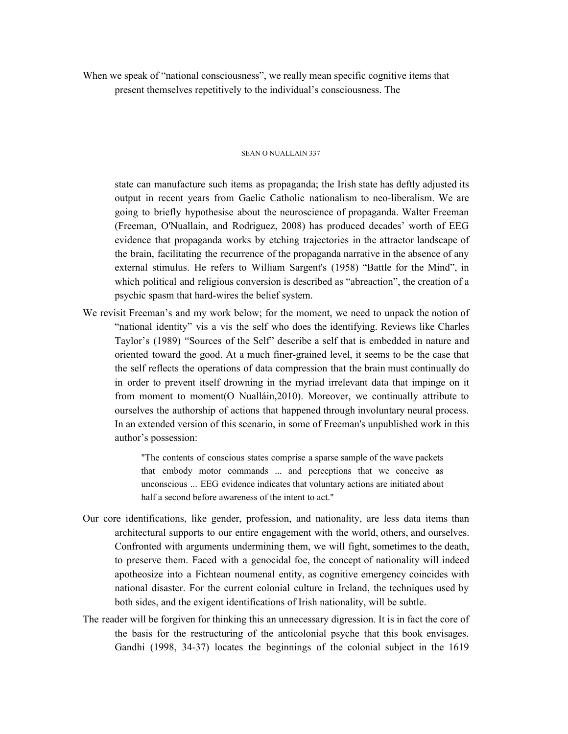When we speak of "national consciousness", we really mean specific cognitive items that present themselves repetitively to the individual's consciousness. The

#### SEAN O NUALLAIN 337

state can manufacture such items as propaganda; the Irish state has deftly adjusted its output in recent years from Gaelic Catholic nationalism to neo-liberalism. We are going to briefly hypothesise about the neuroscience of propaganda. Walter Freeman (Freeman, O'Nuallain, and Rodriguez, 2008) has produced decades' worth of EEG evidence that propaganda works by etching trajectories in the attractor landscape of the brain, facilitating the recurrence of the propaganda narrative in the absence of any external stimulus. He refers to William Sargent's (1958) "Battle for the Mind", in which political and religious conversion is described as "abreaction", the creation of a psychic spasm that hard-wires the belief system.

We revisit Freeman's and my work below; for the moment, we need to unpack the notion of "national identity" vis a vis the self who does the identifying. Reviews like Charles Taylor's (1989) "Sources of the Self" describe a self that is embedded in nature and oriented toward the good. At a much finer-grained level, it seems to be the case that the self reflects the operations of data compression that the brain must continually do in order to prevent itself drowning in the myriad irrelevant data that impinge on it from moment to moment(O Nualláin,2010). Moreover, we continually attribute to ourselves the authorship of actions that happened through involuntary neural process. In an extended version of this scenario, in some of Freeman's unpublished work in this author's possession:

> "The contents of conscious states comprise a sparse sample of the wave packets that embody motor commands ... and perceptions that we conceive as unconscious ... EEG evidence indicates that voluntary actions are initiated about half a second before awareness of the intent to act."

- Our core identifications, like gender, profession, and nationality, are less data items than architectural supports to our entire engagement with the world, others, and ourselves. Confronted with arguments undermining them, we will fight, sometimes to the death, to preserve them. Faced with a genocidal foe, the concept of nationality will indeed apotheosize into a Fichtean noumenal entity, as cognitive emergency coincides with national disaster. For the current colonial culture in Ireland, the techniques used by both sides, and the exigent identifications of Irish nationality, will be subtle.
- The reader will be forgiven for thinking this an unnecessary digression. It is in fact the core of the basis for the restructuring of the anticolonial psyche that this book envisages. Gandhi (1998, 34-37) locates the beginnings of the colonial subject in the 1619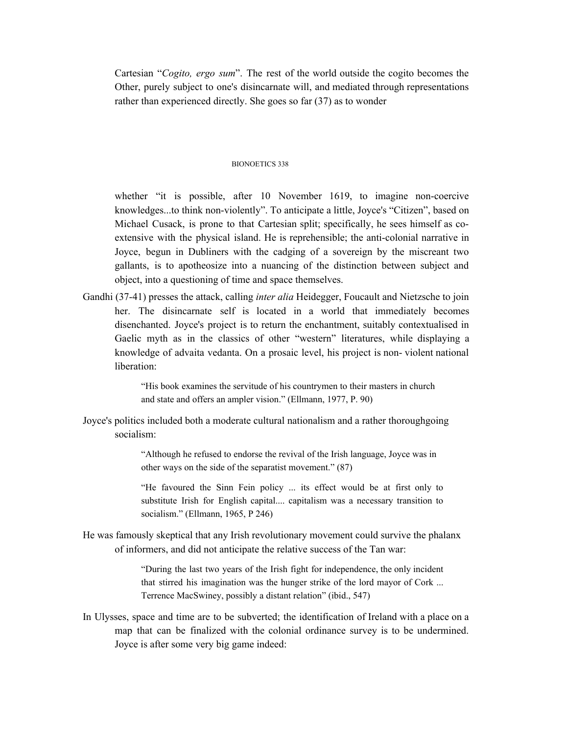Cartesian "*Cogito, ergo sum*". The rest of the world outside the cogito becomes the Other, purely subject to one's disincarnate will, and mediated through representations rather than experienced directly. She goes so far (37) as to wonder

## BIONOETICS 338

whether "it is possible, after 10 November 1619, to imagine non-coercive knowledges...to think non-violently". To anticipate a little, Joyce's "Citizen", based on Michael Cusack, is prone to that Cartesian split; specifically, he sees himself as coextensive with the physical island. He is reprehensible; the anti-colonial narrative in Joyce, begun in Dubliners with the cadging of a sovereign by the miscreant two gallants, is to apotheosize into a nuancing of the distinction between subject and object, into a questioning of time and space themselves.

Gandhi (37-41) presses the attack, calling *inter alia* Heidegger, Foucault and Nietzsche to join her. The disincarnate self is located in a world that immediately becomes disenchanted. Joyce's project is to return the enchantment, suitably contextualised in Gaelic myth as in the classics of other "western" literatures, while displaying a knowledge of advaita vedanta. On a prosaic level, his project is non- violent national liberation:

> "His book examines the servitude of his countrymen to their masters in church and state and offers an ampler vision." (Ellmann, 1977, P. 90)

Joyce's politics included both a moderate cultural nationalism and a rather thoroughgoing socialism:

> "Although he refused to endorse the revival of the Irish language, Joyce was in other ways on the side of the separatist movement." (87)

"He favoured the Sinn Fein policy ... its effect would be at first only to substitute Irish for English capital.... capitalism was a necessary transition to socialism." (Ellmann, 1965, P 246)

He was famously skeptical that any Irish revolutionary movement could survive the phalanx of informers, and did not anticipate the relative success of the Tan war:

> "During the last two years of the Irish fight for independence, the only incident that stirred his imagination was the hunger strike of the lord mayor of Cork ... Terrence MacSwiney, possibly a distant relation" (ibid., 547)

In Ulysses, space and time are to be subverted; the identification of Ireland with a place on a map that can be finalized with the colonial ordinance survey is to be undermined. Joyce is after some very big game indeed: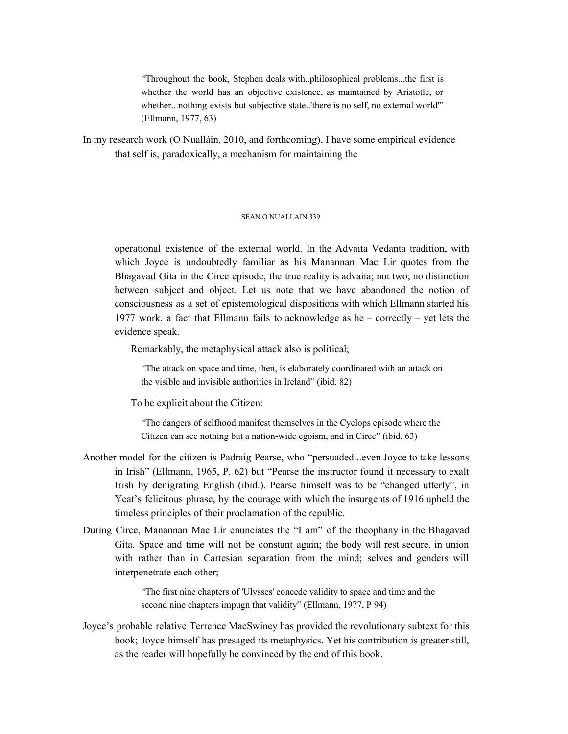"Throughout the book, Stephen deals with..philosophical problems...the first is whether the world has an objective existence, as maintained by Aristotle, or whether...nothing exists but subjective state..'there is no self, no external world" (Ellmann, 1977, 63)

In my research work (O Nualláin, 2010, and forthcoming), I have some empirical evidence that self is, paradoxically, a mechanism for maintaining the

#### SEAN O NUALLAIN 339

operational existence of the external world. In the Advaita Vedanta tradition, with which Joyce is undoubtedly familiar as his Manannan Mac Lir quotes from the Bhagavad Gita in the Circe episode, the true reality is advaita; not two; no distinction between subject and object. Let us note that we have abandoned the notion of consciousness as a set of epistemological dispositions with which Ellmann started his 1977 work, a fact that Ellmann fails to acknowledge as he – correctly – yet lets the evidence speak.

Remarkably, the metaphysical attack also is political;

"The attack on space and time, then, is elaborately coordinated with an attack on the visible and invisible authorities in Ireland" (ibid. 82)

To be explicit about the Citizen:

"The dangers of selfhood manifest themselves in the Cyclops episode where the Citizen can see nothing but a nation-wide egoism, and in Circe" (ibid. 63)

- Another model for the citizen is Padraig Pearse, who "persuaded...even Joyce to take lessons in Irish" (Ellmann, 1965, P. 62) but "Pearse the instructor found it necessary to exalt Irish by denigrating English (ibid.). Pearse himself was to be "changed utterly", in Yeat's felicitous phrase, by the courage with which the insurgents of 1916 upheld the timeless principles of their proclamation of the republic.
- During Circe, Manannan Mac Lir enunciates the "I am" of the theophany in the Bhagavad Gita. Space and time will not be constant again; the body will rest secure, in union with rather than in Cartesian separation from the mind; selves and genders will interpenetrate each other;

"The first nine chapters of 'Ulysses' concede validity to space and time and the second nine chapters impugn that validity" (Ellmann, 1977, P 94)

Joyce's probable relative Terrence MacSwiney has provided the revolutionary subtext for this book; Joyce himself has presaged its metaphysics. Yet his contribution is greater still, as the reader will hopefully be convinced by the end of this book.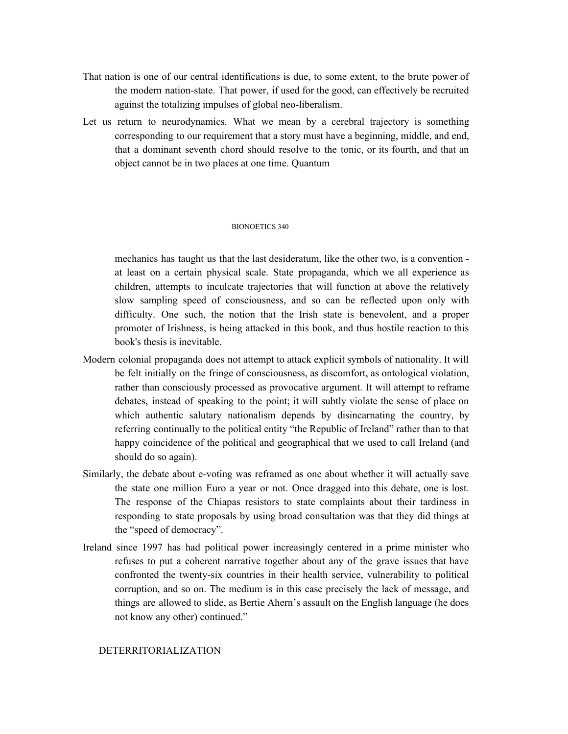- That nation is one of our central identifications is due, to some extent, to the brute power of the modern nation-state. That power, if used for the good, can effectively be recruited against the totalizing impulses of global neo-liberalism.
- Let us return to neurodynamics. What we mean by a cerebral trajectory is something corresponding to our requirement that a story must have a beginning, middle, and end, that a dominant seventh chord should resolve to the tonic, or its fourth, and that an object cannot be in two places at one time. Quantum

#### BIONOETICS 340

mechanics has taught us that the last desideratum, like the other two, is a convention at least on a certain physical scale. State propaganda, which we all experience as children, attempts to inculcate trajectories that will function at above the relatively slow sampling speed of consciousness, and so can be reflected upon only with difficulty. One such, the notion that the Irish state is benevolent, and a proper promoter of Irishness, is being attacked in this book, and thus hostile reaction to this book's thesis is inevitable.

- Modern colonial propaganda does not attempt to attack explicit symbols of nationality. It will be felt initially on the fringe of consciousness, as discomfort, as ontological violation, rather than consciously processed as provocative argument. It will attempt to reframe debates, instead of speaking to the point; it will subtly violate the sense of place on which authentic salutary nationalism depends by disincarnating the country, by referring continually to the political entity "the Republic of Ireland" rather than to that happy coincidence of the political and geographical that we used to call Ireland (and should do so again).
- Similarly, the debate about e-voting was reframed as one about whether it will actually save the state one million Euro a year or not. Once dragged into this debate, one is lost. The response of the Chiapas resistors to state complaints about their tardiness in responding to state proposals by using broad consultation was that they did things at the "speed of democracy".
- Ireland since 1997 has had political power increasingly centered in a prime minister who refuses to put a coherent narrative together about any of the grave issues that have confronted the twenty-six countries in their health service, vulnerability to political corruption, and so on. The medium is in this case precisely the lack of message, and things are allowed to slide, as Bertie Ahern's assault on the English language (he does not know any other) continued."

## DETERRITORIALIZATION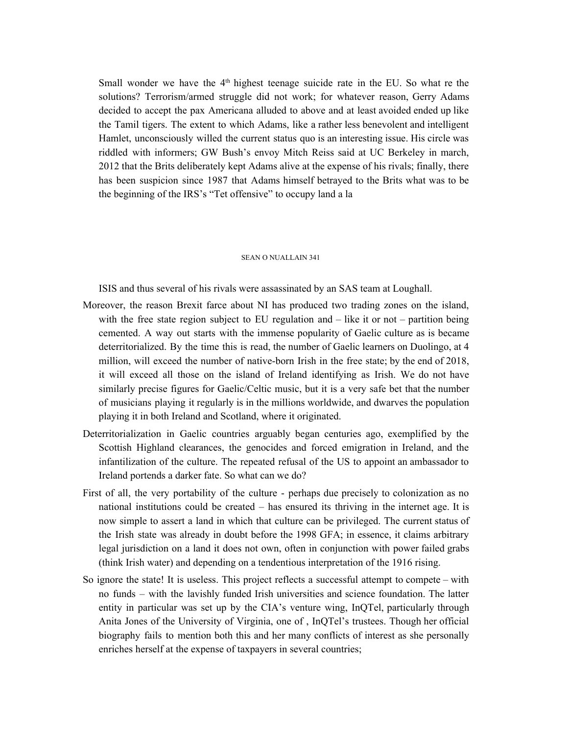Small wonder we have the  $4<sup>th</sup>$  highest teenage suicide rate in the EU. So what re the solutions? Terrorism/armed struggle did not work; for whatever reason, Gerry Adams decided to accept the pax Americana alluded to above and at least avoided ended up like the Tamil tigers. The extent to which Adams, like a rather less benevolent and intelligent Hamlet, unconsciously willed the current status quo is an interesting issue. His circle was riddled with informers; GW Bush's envoy Mitch Reiss said at UC Berkeley in march, 2012 that the Brits deliberately kept Adams alive at the expense of his rivals; finally, there has been suspicion since 1987 that Adams himself betrayed to the Brits what was to be the beginning of the IRS's "Tet offensive" to occupy land a la

#### SEAN O NUALLAIN 341

ISIS and thus several of his rivals were assassinated by an SAS team at Loughall.

- Moreover, the reason Brexit farce about NI has produced two trading zones on the island, with the free state region subject to EU regulation and – like it or not – partition being cemented. A way out starts with the immense popularity of Gaelic culture as is became deterritorialized. By the time this is read, the number of Gaelic learners on Duolingo, at 4 million, will exceed the number of native-born Irish in the free state; by the end of 2018, it will exceed all those on the island of Ireland identifying as Irish. We do not have similarly precise figures for Gaelic/Celtic music, but it is a very safe bet that the number of musicians playing it regularly is in the millions worldwide, and dwarves the population playing it in both Ireland and Scotland, where it originated.
- Deterritorialization in Gaelic countries arguably began centuries ago, exemplified by the Scottish Highland clearances, the genocides and forced emigration in Ireland, and the infantilization of the culture. The repeated refusal of the US to appoint an ambassador to Ireland portends a darker fate. So what can we do?
- First of all, the very portability of the culture perhaps due precisely to colonization as no national institutions could be created – has ensured its thriving in the internet age. It is now simple to assert a land in which that culture can be privileged. The current status of the Irish state was already in doubt before the 1998 GFA; in essence, it claims arbitrary legal jurisdiction on a land it does not own, often in conjunction with power failed grabs (think Irish water) and depending on a tendentious interpretation of the 1916 rising.
- So ignore the state! It is useless. This project reflects a successful attempt to compete with no funds – with the lavishly funded Irish universities and science foundation. The latter entity in particular was set up by the CIA's venture wing, InQTel, particularly through Anita Jones of the University of Virginia, one of , InQTel's trustees. Though her official biography fails to mention both this and her many conflicts of interest as she personally enriches herself at the expense of taxpayers in several countries;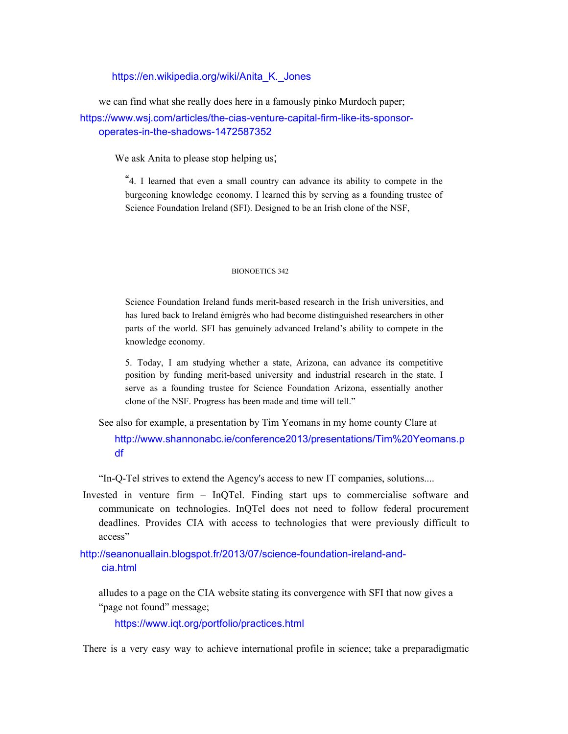https://en.wikipedia.org/wiki/Anita\_K.\_Jones

we can find what she really does here in a famously pinko Murdoch paper;

https://www.wsj.com/articles/the-cias-venture-capital-firm-like-its-sponsoroperates-in-the-shadows-1472587352

We ask Anita to please stop helping us;

"4. I learned that even a small country can advance its ability to compete in the burgeoning knowledge economy. I learned this by serving as a founding trustee of Science Foundation Ireland (SFI). Designed to be an Irish clone of the NSF,

#### BIONOETICS 342

Science Foundation Ireland funds merit-based research in the Irish universities, and has lured back to Ireland émigrés who had become distinguished researchers in other parts of the world. SFI has genuinely advanced Ireland's ability to compete in the knowledge economy.

5. Today, I am studying whether a state, Arizona, can advance its competitive position by funding merit-based university and industrial research in the state. I serve as a founding trustee for Science Foundation Arizona, essentially another clone of the NSF. Progress has been made and time will tell."

See also for example, a presentation by Tim Yeomans in my home county Clare at http://www.shannonabc.ie/conference2013/presentations/Tim%20Yeomans.p df

"In-Q-Tel strives to extend the Agency's access to new IT companies, solutions....

Invested in venture firm – InQTel. Finding start ups to commercialise software and communicate on technologies. InQTel does not need to follow federal procurement deadlines. Provides CIA with access to technologies that were previously difficult to access"

http://seanonuallain.blogspot.fr/2013/07/science-foundation-ireland-andcia.html

alludes to a page on the CIA website stating its convergence with SFI that now gives a "page not found" message;

https://www.iqt.org/portfolio/practices.html

There is a very easy way to achieve international profile in science; take a preparadigmatic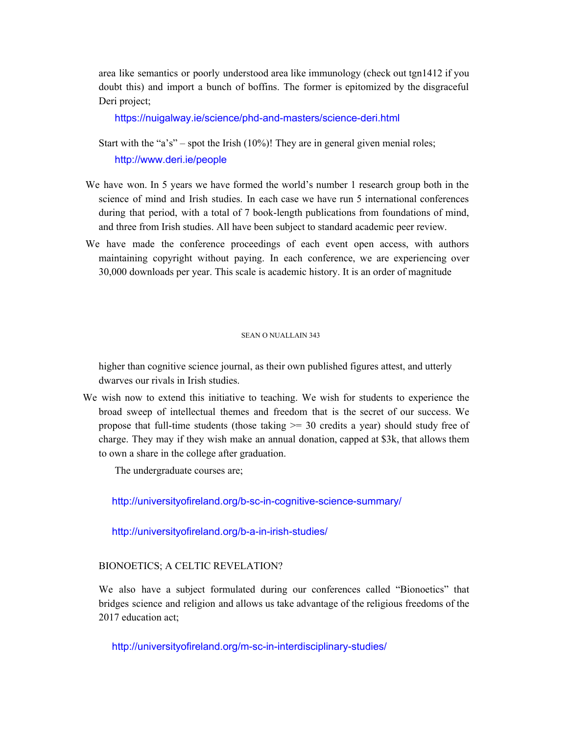area like semantics or poorly understood area like immunology (check out tgn1412 if you doubt this) and import a bunch of boffins. The former is epitomized by the disgraceful Deri project;

https://nuigalway.ie/science/phd-and-masters/science-deri.html

Start with the "a's" – spot the Irish  $(10\%)$ ! They are in general given menial roles; http://www.deri.ie/people

- We have won. In 5 years we have formed the world's number 1 research group both in the science of mind and Irish studies. In each case we have run 5 international conferences during that period, with a total of 7 book-length publications from foundations of mind, and three from Irish studies. All have been subject to standard academic peer review.
- We have made the conference proceedings of each event open access, with authors maintaining copyright without paying. In each conference, we are experiencing over 30,000 downloads per year. This scale is academic history. It is an order of magnitude

## SEAN O NUALLAIN 343

higher than cognitive science journal, as their own published figures attest, and utterly dwarves our rivals in Irish studies.

We wish now to extend this initiative to teaching. We wish for students to experience the broad sweep of intellectual themes and freedom that is the secret of our success. We propose that full-time students (those taking  $\geq$  30 credits a year) should study free of charge. They may if they wish make an annual donation, capped at \$3k, that allows them to own a share in the college after graduation.

The undergraduate courses are;

http://universityofireland.org/b-sc-in-cognitive-science-summary/

http://universityofireland.org/b-a-in-irish-studies/

# BIONOETICS; A CELTIC REVELATION?

We also have a subject formulated during our conferences called "Bionoetics" that bridges science and religion and allows us take advantage of the religious freedoms of the 2017 education act;

http://universityofireland.org/m-sc-in-interdisciplinary-studies/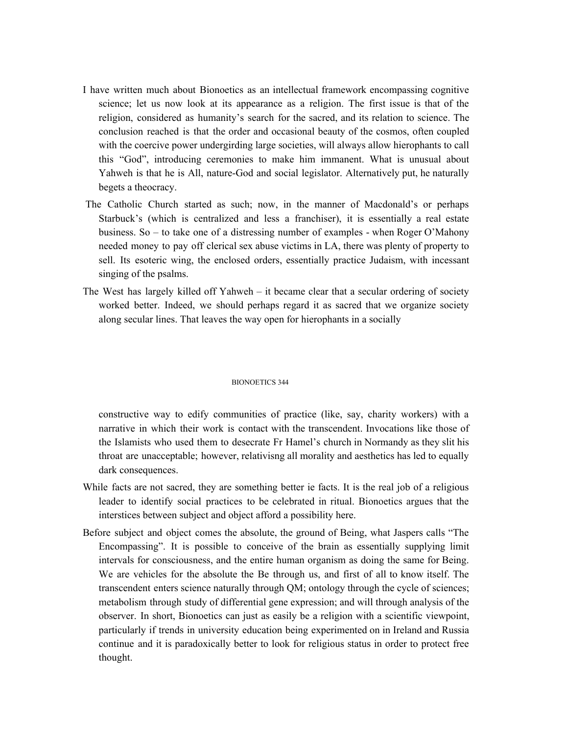- I have written much about Bionoetics as an intellectual framework encompassing cognitive science; let us now look at its appearance as a religion. The first issue is that of the religion, considered as humanity's search for the sacred, and its relation to science. The conclusion reached is that the order and occasional beauty of the cosmos, often coupled with the coercive power undergirding large societies, will always allow hierophants to call this "God", introducing ceremonies to make him immanent. What is unusual about Yahweh is that he is All, nature-God and social legislator. Alternatively put, he naturally begets a theocracy.
- The Catholic Church started as such; now, in the manner of Macdonald's or perhaps Starbuck's (which is centralized and less a franchiser), it is essentially a real estate business. So – to take one of a distressing number of examples - when Roger O'Mahony needed money to pay off clerical sex abuse victims in LA, there was plenty of property to sell. Its esoteric wing, the enclosed orders, essentially practice Judaism, with incessant singing of the psalms.
- The West has largely killed off Yahweh it became clear that a secular ordering of society worked better. Indeed, we should perhaps regard it as sacred that we organize society along secular lines. That leaves the way open for hierophants in a socially

## BIONOETICS 344

constructive way to edify communities of practice (like, say, charity workers) with a narrative in which their work is contact with the transcendent. Invocations like those of the Islamists who used them to desecrate Fr Hamel's church in Normandy as they slit his throat are unacceptable; however, relativisng all morality and aesthetics has led to equally dark consequences.

- While facts are not sacred, they are something better ie facts. It is the real job of a religious leader to identify social practices to be celebrated in ritual. Bionoetics argues that the interstices between subject and object afford a possibility here.
- Before subject and object comes the absolute, the ground of Being, what Jaspers calls "The Encompassing". It is possible to conceive of the brain as essentially supplying limit intervals for consciousness, and the entire human organism as doing the same for Being. We are vehicles for the absolute the Be through us, and first of all to know itself. The transcendent enters science naturally through QM; ontology through the cycle of sciences; metabolism through study of differential gene expression; and will through analysis of the observer. In short, Bionoetics can just as easily be a religion with a scientific viewpoint, particularly if trends in university education being experimented on in Ireland and Russia continue and it is paradoxically better to look for religious status in order to protect free thought.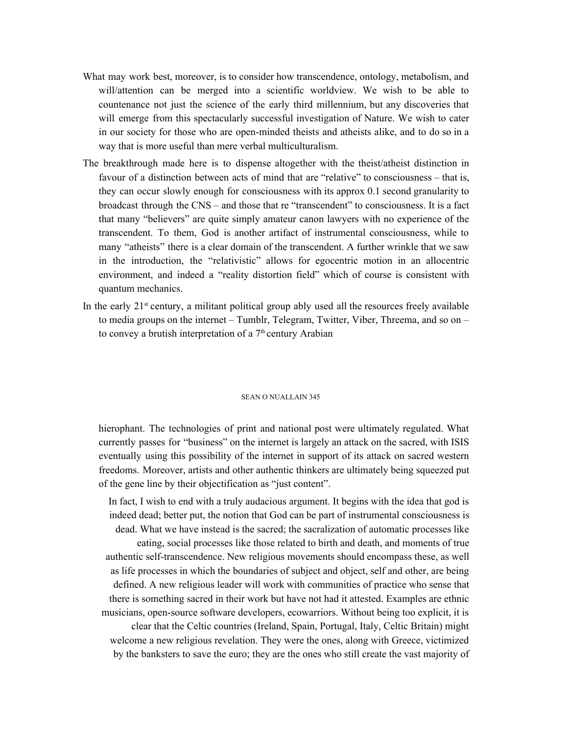- What may work best, moreover, is to consider how transcendence, ontology, metabolism, and will/attention can be merged into a scientific worldview. We wish to be able to countenance not just the science of the early third millennium, but any discoveries that will emerge from this spectacularly successful investigation of Nature. We wish to cater in our society for those who are open-minded theists and atheists alike, and to do so in a way that is more useful than mere verbal multiculturalism.
- The breakthrough made here is to dispense altogether with the theist/atheist distinction in favour of a distinction between acts of mind that are "relative" to consciousness – that is, they can occur slowly enough for consciousness with its approx 0.1 second granularity to broadcast through the CNS – and those that re "transcendent" to consciousness. It is a fact that many "believers" are quite simply amateur canon lawyers with no experience of the transcendent. To them, God is another artifact of instrumental consciousness, while to many "atheists" there is a clear domain of the transcendent. A further wrinkle that we saw in the introduction, the "relativistic" allows for egocentric motion in an allocentric environment, and indeed a "reality distortion field" which of course is consistent with quantum mechanics.
- In the early 21<sup>st</sup> century, a militant political group ably used all the resources freely available to media groups on the internet – Tumblr, Telegram, Twitter, Viber, Threema, and so on – to convey a brutish interpretation of a  $7<sup>th</sup>$  century Arabian

#### SEAN O NUALLAIN 345

hierophant. The technologies of print and national post were ultimately regulated. What currently passes for "business" on the internet is largely an attack on the sacred, with ISIS eventually using this possibility of the internet in support of its attack on sacred western freedoms. Moreover, artists and other authentic thinkers are ultimately being squeezed put of the gene line by their objectification as "just content".

In fact, I wish to end with a truly audacious argument. It begins with the idea that god is indeed dead; better put, the notion that God can be part of instrumental consciousness is dead. What we have instead is the sacred; the sacralization of automatic processes like eating, social processes like those related to birth and death, and moments of true authentic self-transcendence. New religious movements should encompass these, as well as life processes in which the boundaries of subject and object, self and other, are being defined. A new religious leader will work with communities of practice who sense that there is something sacred in their work but have not had it attested. Examples are ethnic musicians, open-source software developers, ecowarriors. Without being too explicit, it is clear that the Celtic countries (Ireland, Spain, Portugal, Italy, Celtic Britain) might welcome a new religious revelation. They were the ones, along with Greece, victimized by the banksters to save the euro; they are the ones who still create the vast majority of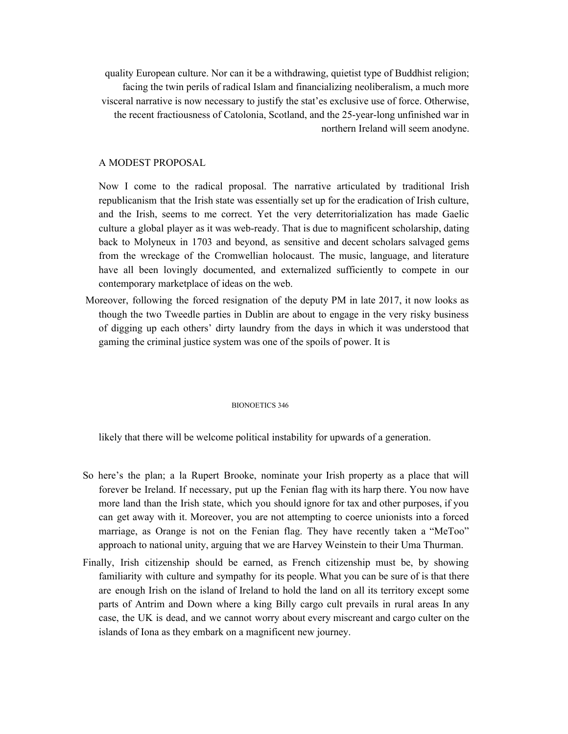quality European culture. Nor can it be a withdrawing, quietist type of Buddhist religion; facing the twin perils of radical Islam and financializing neoliberalism, a much more visceral narrative is now necessary to justify the stat'es exclusive use of force. Otherwise, the recent fractiousness of Catolonia, Scotland, and the 25-year-long unfinished war in northern Ireland will seem anodyne.

# A MODEST PROPOSAL

Now I come to the radical proposal. The narrative articulated by traditional Irish republicanism that the Irish state was essentially set up for the eradication of Irish culture, and the Irish, seems to me correct. Yet the very deterritorialization has made Gaelic culture a global player as it was web-ready. That is due to magnificent scholarship, dating back to Molyneux in 1703 and beyond, as sensitive and decent scholars salvaged gems from the wreckage of the Cromwellian holocaust. The music, language, and literature have all been lovingly documented, and externalized sufficiently to compete in our contemporary marketplace of ideas on the web.

Moreover, following the forced resignation of the deputy PM in late 2017, it now looks as though the two Tweedle parties in Dublin are about to engage in the very risky business of digging up each others' dirty laundry from the days in which it was understood that gaming the criminal justice system was one of the spoils of power. It is

#### BIONOETICS 346

likely that there will be welcome political instability for upwards of a generation.

- So here's the plan; a la Rupert Brooke, nominate your Irish property as a place that will forever be Ireland. If necessary, put up the Fenian flag with its harp there. You now have more land than the Irish state, which you should ignore for tax and other purposes, if you can get away with it. Moreover, you are not attempting to coerce unionists into a forced marriage, as Orange is not on the Fenian flag. They have recently taken a "MeToo" approach to national unity, arguing that we are Harvey Weinstein to their Uma Thurman.
- Finally, Irish citizenship should be earned, as French citizenship must be, by showing familiarity with culture and sympathy for its people. What you can be sure of is that there are enough Irish on the island of Ireland to hold the land on all its territory except some parts of Antrim and Down where a king Billy cargo cult prevails in rural areas In any case, the UK is dead, and we cannot worry about every miscreant and cargo culter on the islands of Iona as they embark on a magnificent new journey.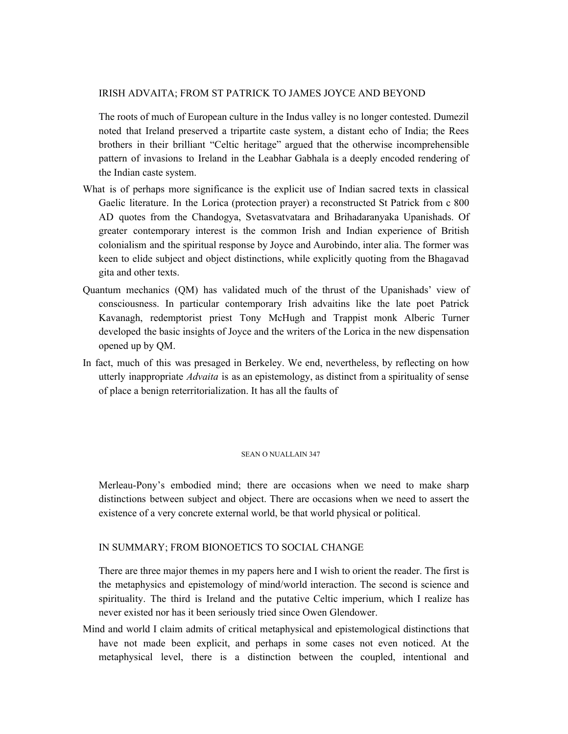# IRISH ADVAITA; FROM ST PATRICK TO JAMES JOYCE AND BEYOND

The roots of much of European culture in the Indus valley is no longer contested. Dumezil noted that Ireland preserved a tripartite caste system, a distant echo of India; the Rees brothers in their brilliant "Celtic heritage" argued that the otherwise incomprehensible pattern of invasions to Ireland in the Leabhar Gabhala is a deeply encoded rendering of the Indian caste system.

- What is of perhaps more significance is the explicit use of Indian sacred texts in classical Gaelic literature. In the Lorica (protection prayer) a reconstructed St Patrick from c 800 AD quotes from the Chandogya, Svetasvatvatara and Brihadaranyaka Upanishads. Of greater contemporary interest is the common Irish and Indian experience of British colonialism and the spiritual response by Joyce and Aurobindo, inter alia. The former was keen to elide subject and object distinctions, while explicitly quoting from the Bhagavad gita and other texts.
- Quantum mechanics (QM) has validated much of the thrust of the Upanishads' view of consciousness. In particular contemporary Irish advaitins like the late poet Patrick Kavanagh, redemptorist priest Tony McHugh and Trappist monk Alberic Turner developed the basic insights of Joyce and the writers of the Lorica in the new dispensation opened up by QM.
- In fact, much of this was presaged in Berkeley. We end, nevertheless, by reflecting on how utterly inappropriate *Advaita* is as an epistemology, as distinct from a spirituality of sense of place a benign reterritorialization. It has all the faults of

## SEAN O NUALLAIN 347

Merleau-Pony's embodied mind; there are occasions when we need to make sharp distinctions between subject and object. There are occasions when we need to assert the existence of a very concrete external world, be that world physical or political.

# IN SUMMARY; FROM BIONOETICS TO SOCIAL CHANGE

There are three major themes in my papers here and I wish to orient the reader. The first is the metaphysics and epistemology of mind/world interaction. The second is science and spirituality. The third is Ireland and the putative Celtic imperium, which I realize has never existed nor has it been seriously tried since Owen Glendower.

Mind and world I claim admits of critical metaphysical and epistemological distinctions that have not made been explicit, and perhaps in some cases not even noticed. At the metaphysical level, there is a distinction between the coupled, intentional and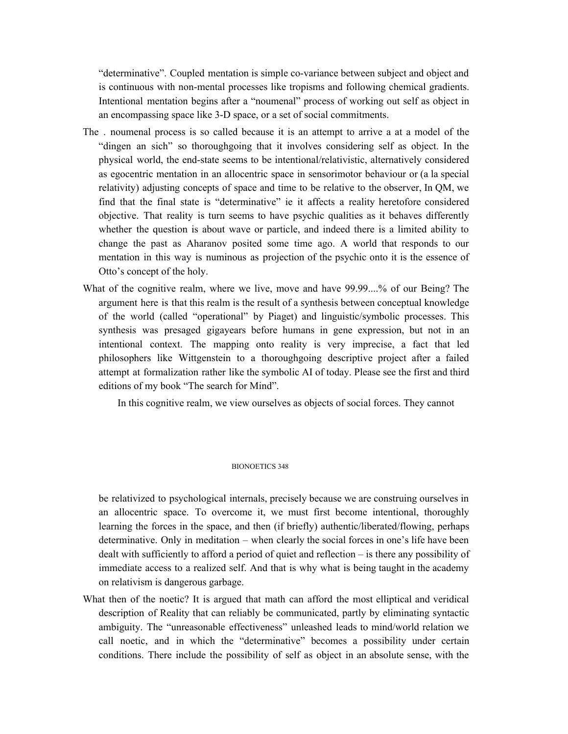"determinative". Coupled mentation is simple co-variance between subject and object and is continuous with non-mental processes like tropisms and following chemical gradients. Intentional mentation begins after a "noumenal" process of working out self as object in an encompassing space like 3-D space, or a set of social commitments.

- The . noumenal process is so called because it is an attempt to arrive a at a model of the "dingen an sich" so thoroughgoing that it involves considering self as object. In the physical world, the end-state seems to be intentional/relativistic, alternatively considered as egocentric mentation in an allocentric space in sensorimotor behaviour or (a la special relativity) adjusting concepts of space and time to be relative to the observer, In QM, we find that the final state is "determinative" ie it affects a reality heretofore considered objective. That reality is turn seems to have psychic qualities as it behaves differently whether the question is about wave or particle, and indeed there is a limited ability to change the past as Aharanov posited some time ago. A world that responds to our mentation in this way is numinous as projection of the psychic onto it is the essence of Otto's concept of the holy.
- What of the cognitive realm, where we live, move and have 99.99....% of our Being? The argument here is that this realm is the result of a synthesis between conceptual knowledge of the world (called "operational" by Piaget) and linguistic/symbolic processes. This synthesis was presaged gigayears before humans in gene expression, but not in an intentional context. The mapping onto reality is very imprecise, a fact that led philosophers like Wittgenstein to a thoroughgoing descriptive project after a failed attempt at formalization rather like the symbolic AI of today. Please see the first and third editions of my book "The search for Mind".

In this cognitive realm, we view ourselves as objects of social forces. They cannot

## BIONOETICS 348

be relativized to psychological internals, precisely because we are construing ourselves in an allocentric space. To overcome it, we must first become intentional, thoroughly learning the forces in the space, and then (if briefly) authentic/liberated/flowing, perhaps determinative. Only in meditation – when clearly the social forces in one's life have been dealt with sufficiently to afford a period of quiet and reflection – is there any possibility of immediate access to a realized self. And that is why what is being taught in the academy on relativism is dangerous garbage.

What then of the noetic? It is argued that math can afford the most elliptical and veridical description of Reality that can reliably be communicated, partly by eliminating syntactic ambiguity. The "unreasonable effectiveness" unleashed leads to mind/world relation we call noetic, and in which the "determinative" becomes a possibility under certain conditions. There include the possibility of self as object in an absolute sense, with the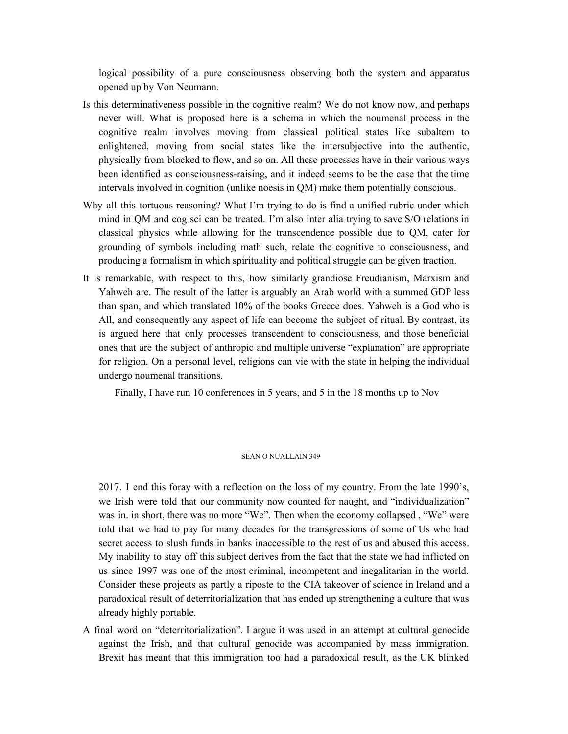logical possibility of a pure consciousness observing both the system and apparatus opened up by Von Neumann.

- Is this determinativeness possible in the cognitive realm? We do not know now, and perhaps never will. What is proposed here is a schema in which the noumenal process in the cognitive realm involves moving from classical political states like subaltern to enlightened, moving from social states like the intersubjective into the authentic, physically from blocked to flow, and so on. All these processes have in their various ways been identified as consciousness-raising, and it indeed seems to be the case that the time intervals involved in cognition (unlike noesis in QM) make them potentially conscious.
- Why all this tortuous reasoning? What I'm trying to do is find a unified rubric under which mind in QM and cog sci can be treated. I'm also inter alia trying to save S/O relations in classical physics while allowing for the transcendence possible due to QM, cater for grounding of symbols including math such, relate the cognitive to consciousness, and producing a formalism in which spirituality and political struggle can be given traction.
- It is remarkable, with respect to this, how similarly grandiose Freudianism, Marxism and Yahweh are. The result of the latter is arguably an Arab world with a summed GDP less than span, and which translated 10% of the books Greece does. Yahweh is a God who is All, and consequently any aspect of life can become the subject of ritual. By contrast, its is argued here that only processes transcendent to consciousness, and those beneficial ones that are the subject of anthropic and multiple universe "explanation" are appropriate for religion. On a personal level, religions can vie with the state in helping the individual undergo noumenal transitions.

Finally, I have run 10 conferences in 5 years, and 5 in the 18 months up to Nov

#### SEAN O NUALLAIN 349

2017. I end this foray with a reflection on the loss of my country. From the late 1990's, we Irish were told that our community now counted for naught, and "individualization" was in. in short, there was no more "We". Then when the economy collapsed, "We" were told that we had to pay for many decades for the transgressions of some of Us who had secret access to slush funds in banks inaccessible to the rest of us and abused this access. My inability to stay off this subject derives from the fact that the state we had inflicted on us since 1997 was one of the most criminal, incompetent and inegalitarian in the world. Consider these projects as partly a riposte to the CIA takeover of science in Ireland and a paradoxical result of deterritorialization that has ended up strengthening a culture that was already highly portable.

A final word on "deterritorialization". I argue it was used in an attempt at cultural genocide against the Irish, and that cultural genocide was accompanied by mass immigration. Brexit has meant that this immigration too had a paradoxical result, as the UK blinked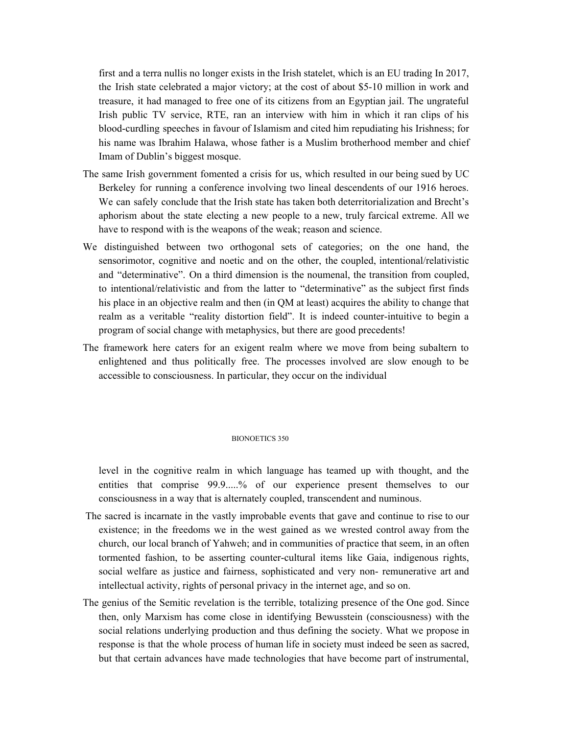first and a terra nullis no longer exists in the Irish statelet, which is an EU trading In 2017, the Irish state celebrated a major victory; at the cost of about \$5-10 million in work and treasure, it had managed to free one of its citizens from an Egyptian jail. The ungrateful Irish public TV service, RTE, ran an interview with him in which it ran clips of his blood-curdling speeches in favour of Islamism and cited him repudiating his Irishness; for his name was Ibrahim Halawa, whose father is a Muslim brotherhood member and chief Imam of Dublin's biggest mosque.

- The same Irish government fomented a crisis for us, which resulted in our being sued by UC Berkeley for running a conference involving two lineal descendents of our 1916 heroes. We can safely conclude that the Irish state has taken both deterritorialization and Brecht's aphorism about the state electing a new people to a new, truly farcical extreme. All we have to respond with is the weapons of the weak; reason and science.
- We distinguished between two orthogonal sets of categories; on the one hand, the sensorimotor, cognitive and noetic and on the other, the coupled, intentional/relativistic and "determinative". On a third dimension is the noumenal, the transition from coupled, to intentional/relativistic and from the latter to "determinative" as the subject first finds his place in an objective realm and then (in QM at least) acquires the ability to change that realm as a veritable "reality distortion field". It is indeed counter-intuitive to begin a program of social change with metaphysics, but there are good precedents!
- The framework here caters for an exigent realm where we move from being subaltern to enlightened and thus politically free. The processes involved are slow enough to be accessible to consciousness. In particular, they occur on the individual

### BIONOETICS 350

level in the cognitive realm in which language has teamed up with thought, and the entities that comprise 99.9.....% of our experience present themselves to our consciousness in a way that is alternately coupled, transcendent and numinous.

- The sacred is incarnate in the vastly improbable events that gave and continue to rise to our existence; in the freedoms we in the west gained as we wrested control away from the church, our local branch of Yahweh; and in communities of practice that seem, in an often tormented fashion, to be asserting counter-cultural items like Gaia, indigenous rights, social welfare as justice and fairness, sophisticated and very non- remunerative art and intellectual activity, rights of personal privacy in the internet age, and so on.
- The genius of the Semitic revelation is the terrible, totalizing presence of the One god. Since then, only Marxism has come close in identifying Bewusstein (consciousness) with the social relations underlying production and thus defining the society. What we propose in response is that the whole process of human life in society must indeed be seen as sacred, but that certain advances have made technologies that have become part of instrumental,